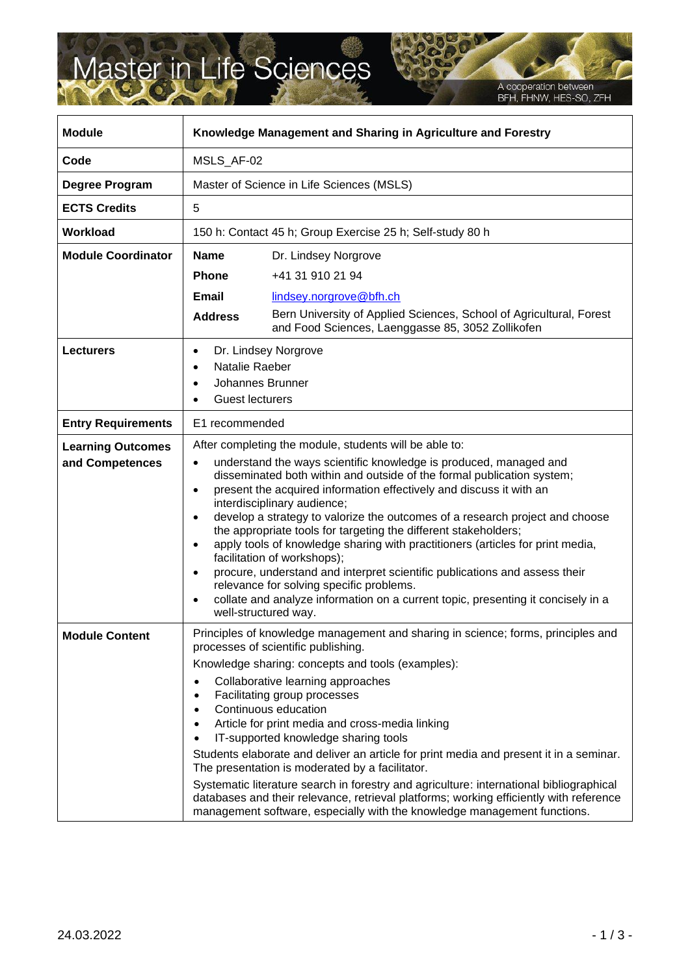## Master in Life Sciences

 $\mathsf{r}$ 

A cooperation between<br>BFH, FHNW, HES-SO, ZFH

٦

| <b>Module</b>                               | Knowledge Management and Sharing in Agriculture and Forestry                                                                                                                                                                                                                                                                                                                                                                                                                                                                                                                                                                                                                                                                                                                                                                                                              |                                                                                                                                                                                                                                                                                                                                                                                                                                                                                                                                                                                                                                                                                                                                                                                    |
|---------------------------------------------|---------------------------------------------------------------------------------------------------------------------------------------------------------------------------------------------------------------------------------------------------------------------------------------------------------------------------------------------------------------------------------------------------------------------------------------------------------------------------------------------------------------------------------------------------------------------------------------------------------------------------------------------------------------------------------------------------------------------------------------------------------------------------------------------------------------------------------------------------------------------------|------------------------------------------------------------------------------------------------------------------------------------------------------------------------------------------------------------------------------------------------------------------------------------------------------------------------------------------------------------------------------------------------------------------------------------------------------------------------------------------------------------------------------------------------------------------------------------------------------------------------------------------------------------------------------------------------------------------------------------------------------------------------------------|
| Code                                        | MSLS_AF-02                                                                                                                                                                                                                                                                                                                                                                                                                                                                                                                                                                                                                                                                                                                                                                                                                                                                |                                                                                                                                                                                                                                                                                                                                                                                                                                                                                                                                                                                                                                                                                                                                                                                    |
| Degree Program                              | Master of Science in Life Sciences (MSLS)                                                                                                                                                                                                                                                                                                                                                                                                                                                                                                                                                                                                                                                                                                                                                                                                                                 |                                                                                                                                                                                                                                                                                                                                                                                                                                                                                                                                                                                                                                                                                                                                                                                    |
| <b>ECTS Credits</b>                         | 5                                                                                                                                                                                                                                                                                                                                                                                                                                                                                                                                                                                                                                                                                                                                                                                                                                                                         |                                                                                                                                                                                                                                                                                                                                                                                                                                                                                                                                                                                                                                                                                                                                                                                    |
| Workload                                    | 150 h: Contact 45 h; Group Exercise 25 h; Self-study 80 h                                                                                                                                                                                                                                                                                                                                                                                                                                                                                                                                                                                                                                                                                                                                                                                                                 |                                                                                                                                                                                                                                                                                                                                                                                                                                                                                                                                                                                                                                                                                                                                                                                    |
| <b>Module Coordinator</b>                   | <b>Name</b>                                                                                                                                                                                                                                                                                                                                                                                                                                                                                                                                                                                                                                                                                                                                                                                                                                                               | Dr. Lindsey Norgrove                                                                                                                                                                                                                                                                                                                                                                                                                                                                                                                                                                                                                                                                                                                                                               |
|                                             | <b>Phone</b>                                                                                                                                                                                                                                                                                                                                                                                                                                                                                                                                                                                                                                                                                                                                                                                                                                                              | +41 31 910 21 94                                                                                                                                                                                                                                                                                                                                                                                                                                                                                                                                                                                                                                                                                                                                                                   |
|                                             | Email                                                                                                                                                                                                                                                                                                                                                                                                                                                                                                                                                                                                                                                                                                                                                                                                                                                                     | lindsey.norgrove@bfh.ch                                                                                                                                                                                                                                                                                                                                                                                                                                                                                                                                                                                                                                                                                                                                                            |
|                                             | <b>Address</b>                                                                                                                                                                                                                                                                                                                                                                                                                                                                                                                                                                                                                                                                                                                                                                                                                                                            | Bern University of Applied Sciences, School of Agricultural, Forest<br>and Food Sciences, Laenggasse 85, 3052 Zollikofen                                                                                                                                                                                                                                                                                                                                                                                                                                                                                                                                                                                                                                                           |
| <b>Lecturers</b>                            | Dr. Lindsey Norgrove<br>$\bullet$<br>Natalie Raeber<br>$\bullet$<br>Johannes Brunner<br>$\bullet$<br><b>Guest lecturers</b>                                                                                                                                                                                                                                                                                                                                                                                                                                                                                                                                                                                                                                                                                                                                               |                                                                                                                                                                                                                                                                                                                                                                                                                                                                                                                                                                                                                                                                                                                                                                                    |
| <b>Entry Requirements</b>                   | E1 recommended                                                                                                                                                                                                                                                                                                                                                                                                                                                                                                                                                                                                                                                                                                                                                                                                                                                            |                                                                                                                                                                                                                                                                                                                                                                                                                                                                                                                                                                                                                                                                                                                                                                                    |
| <b>Learning Outcomes</b><br>and Competences | After completing the module, students will be able to:<br>understand the ways scientific knowledge is produced, managed and<br>$\bullet$<br>disseminated both within and outside of the formal publication system;<br>present the acquired information effectively and discuss it with an<br>$\bullet$<br>interdisciplinary audience;<br>develop a strategy to valorize the outcomes of a research project and choose<br>the appropriate tools for targeting the different stakeholders;<br>apply tools of knowledge sharing with practitioners (articles for print media,<br>facilitation of workshops);<br>procure, understand and interpret scientific publications and assess their<br>$\bullet$<br>relevance for solving specific problems.<br>collate and analyze information on a current topic, presenting it concisely in a<br>$\bullet$<br>well-structured way. |                                                                                                                                                                                                                                                                                                                                                                                                                                                                                                                                                                                                                                                                                                                                                                                    |
| <b>Module Content</b>                       | $\bullet$<br>$\bullet$<br>$\bullet$<br>$\bullet$                                                                                                                                                                                                                                                                                                                                                                                                                                                                                                                                                                                                                                                                                                                                                                                                                          | Principles of knowledge management and sharing in science; forms, principles and<br>processes of scientific publishing.<br>Knowledge sharing: concepts and tools (examples):<br>Collaborative learning approaches<br>Facilitating group processes<br>Continuous education<br>Article for print media and cross-media linking<br>IT-supported knowledge sharing tools<br>Students elaborate and deliver an article for print media and present it in a seminar.<br>The presentation is moderated by a facilitator.<br>Systematic literature search in forestry and agriculture: international bibliographical<br>databases and their relevance, retrieval platforms; working efficiently with reference<br>management software, especially with the knowledge management functions. |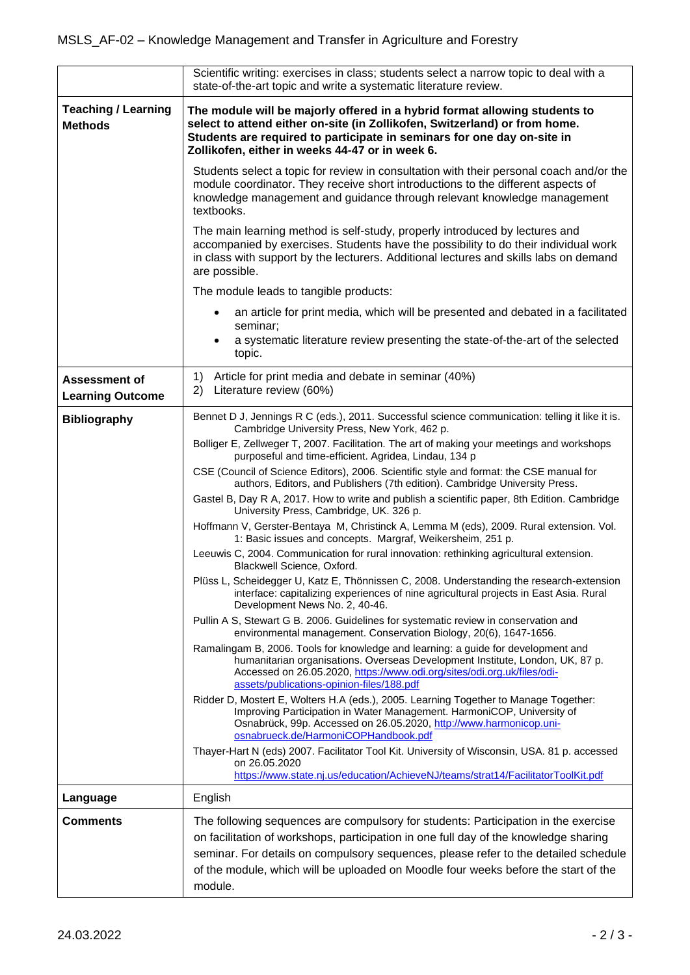|                                                 | Scientific writing: exercises in class; students select a narrow topic to deal with a<br>state-of-the-art topic and write a systematic literature review.                                                                                                                                  |  |  |
|-------------------------------------------------|--------------------------------------------------------------------------------------------------------------------------------------------------------------------------------------------------------------------------------------------------------------------------------------------|--|--|
| <b>Teaching / Learning</b><br><b>Methods</b>    | The module will be majorly offered in a hybrid format allowing students to<br>select to attend either on-site (in Zollikofen, Switzerland) or from home.<br>Students are required to participate in seminars for one day on-site in<br>Zollikofen, either in weeks 44-47 or in week 6.     |  |  |
|                                                 | Students select a topic for review in consultation with their personal coach and/or the<br>module coordinator. They receive short introductions to the different aspects of<br>knowledge management and guidance through relevant knowledge management<br>textbooks.                       |  |  |
|                                                 | The main learning method is self-study, properly introduced by lectures and<br>accompanied by exercises. Students have the possibility to do their individual work<br>in class with support by the lecturers. Additional lectures and skills labs on demand<br>are possible.               |  |  |
|                                                 | The module leads to tangible products:                                                                                                                                                                                                                                                     |  |  |
|                                                 | an article for print media, which will be presented and debated in a facilitated                                                                                                                                                                                                           |  |  |
|                                                 | seminar;<br>a systematic literature review presenting the state-of-the-art of the selected<br>topic.                                                                                                                                                                                       |  |  |
| <b>Assessment of</b><br><b>Learning Outcome</b> | Article for print media and debate in seminar (40%)<br>1)<br>Literature review (60%)<br>2)                                                                                                                                                                                                 |  |  |
| <b>Bibliography</b>                             | Bennet D J, Jennings R C (eds.), 2011. Successful science communication: telling it like it is.<br>Cambridge University Press, New York, 462 p.                                                                                                                                            |  |  |
|                                                 | Bolliger E, Zellweger T, 2007. Facilitation. The art of making your meetings and workshops<br>purposeful and time-efficient. Agridea, Lindau, 134 p                                                                                                                                        |  |  |
|                                                 | CSE (Council of Science Editors), 2006. Scientific style and format: the CSE manual for<br>authors, Editors, and Publishers (7th edition). Cambridge University Press.                                                                                                                     |  |  |
|                                                 | Gastel B, Day R A, 2017. How to write and publish a scientific paper, 8th Edition. Cambridge<br>University Press, Cambridge, UK. 326 p.                                                                                                                                                    |  |  |
|                                                 | Hoffmann V, Gerster-Bentaya M, Christinck A, Lemma M (eds), 2009. Rural extension. Vol.<br>1: Basic issues and concepts. Margraf, Weikersheim, 251 p.                                                                                                                                      |  |  |
|                                                 | Leeuwis C, 2004. Communication for rural innovation: rethinking agricultural extension.<br>Blackwell Science, Oxford.                                                                                                                                                                      |  |  |
|                                                 | Plüss L, Scheidegger U, Katz E, Thönnissen C, 2008. Understanding the research-extension<br>interface: capitalizing experiences of nine agricultural projects in East Asia. Rural<br>Development News No. 2, 40-46.                                                                        |  |  |
|                                                 | Pullin A S, Stewart G B. 2006. Guidelines for systematic review in conservation and<br>environmental management. Conservation Biology, 20(6), 1647-1656.                                                                                                                                   |  |  |
|                                                 | Ramalingam B, 2006. Tools for knowledge and learning: a guide for development and<br>humanitarian organisations. Overseas Development Institute, London, UK, 87 p.<br>Accessed on 26.05.2020, https://www.odi.org/sites/odi.org.uk/files/odi-<br>assets/publications-opinion-files/188.pdf |  |  |
|                                                 | Ridder D, Mostert E, Wolters H.A (eds.), 2005. Learning Together to Manage Together:<br>Improving Participation in Water Management. HarmoniCOP, University of<br>Osnabrück, 99p. Accessed on 26.05.2020, http://www.harmonicop.uni-<br>osnabrueck.de/HarmoniCOPHandbook.pdf               |  |  |
|                                                 | Thayer-Hart N (eds) 2007. Facilitator Tool Kit. University of Wisconsin, USA. 81 p. accessed<br>on 26.05.2020<br>https://www.state.nj.us/education/AchieveNJ/teams/strat14/FacilitatorToolKit.pdf                                                                                          |  |  |
| Language                                        | English                                                                                                                                                                                                                                                                                    |  |  |
| <b>Comments</b>                                 | The following sequences are compulsory for students: Participation in the exercise                                                                                                                                                                                                         |  |  |
|                                                 | on facilitation of workshops, participation in one full day of the knowledge sharing                                                                                                                                                                                                       |  |  |
|                                                 | seminar. For details on compulsory sequences, please refer to the detailed schedule<br>of the module, which will be uploaded on Moodle four weeks before the start of the                                                                                                                  |  |  |
|                                                 | module.                                                                                                                                                                                                                                                                                    |  |  |